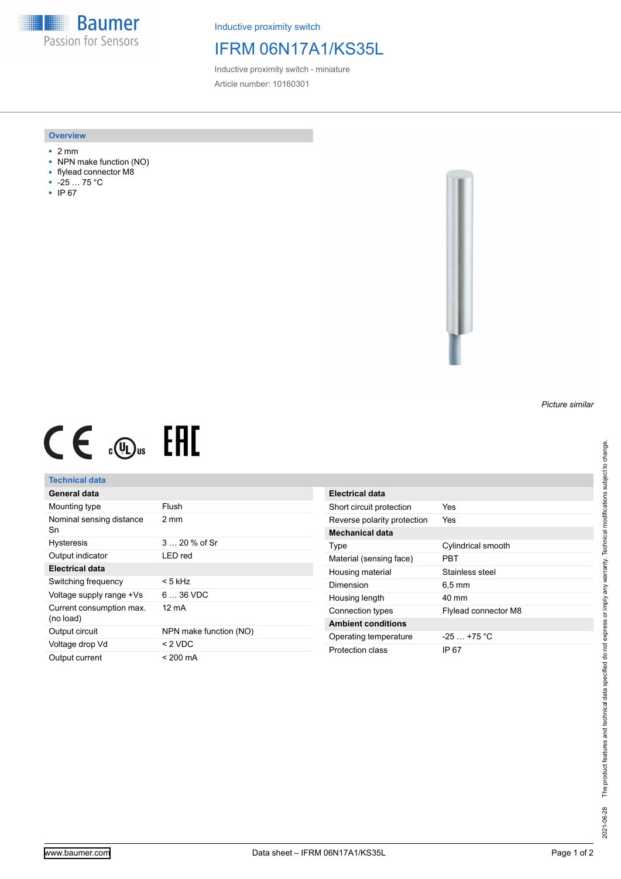**Baumer** Passion for Sensors

Inductive proximity switch

## IFRM 06N17A1/KS35L

Inductive proximity switch - miniature Article number: 10160301

#### **Overview**

- 2 mm
- NPN make function (NO)
- flylead connector M8
- -25 … 75 °C
- IP 67



# $CE \oplus E$

### **Technical data**

| General data                          |                        |
|---------------------------------------|------------------------|
| Mounting type                         | Flush                  |
| Nominal sensing distance<br>Sn        | 2 mm                   |
| <b>Hysteresis</b>                     | 3  20 % of Sr          |
| Output indicator                      | LED red                |
| Electrical data                       |                        |
| Switching frequency                   | < 5 kHz                |
| Voltage supply range +Vs              | 6  36 VDC              |
| Current consumption max.<br>(no load) | 12 mA                  |
| Output circuit                        | NPN make function (NO) |
| Voltage drop Vd                       | $< 2$ VDC              |
| Output current                        | < 200 mA               |

| Electrical data             |                             |
|-----------------------------|-----------------------------|
| Short circuit protection    | Yes                         |
| Reverse polarity protection | Yes                         |
| <b>Mechanical data</b>      |                             |
| Type                        | Cylindrical smooth          |
| Material (sensing face)     | PRT                         |
| Housing material            | Stainless steel             |
| Dimension                   | $6.5 \,\mathrm{mm}$         |
| Housing length              | 40 mm                       |
| Connection types            | <b>Flylead connector M8</b> |
| <b>Ambient conditions</b>   |                             |
| Operating temperature       | $-25+75 °C$                 |
| Protection class            | IP 67                       |

*Picture similar*